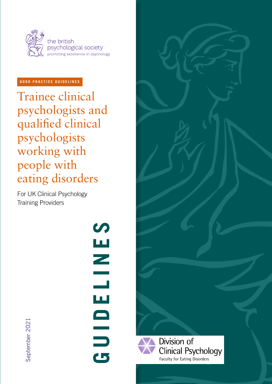

# **GOOD PRACTICE GUIDELINES**

Trainee clinical psychologists and qualified clinical psychologists working with people with eating disorders

For UK Clinical Psychology Training Providers

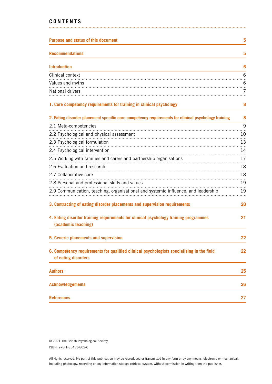# **CONTENTS**

| <b>Purpose and status of this document</b>                                                                       | 5  |
|------------------------------------------------------------------------------------------------------------------|----|
| <b>Recommendations</b>                                                                                           | 5  |
| <b>Introduction</b>                                                                                              | 6  |
| Clinical context                                                                                                 | 6  |
| Values and myths                                                                                                 | 6  |
| National drivers                                                                                                 | 7  |
| 1. Core competency requirements for training in clinical psychology                                              | 8  |
| 2. Eating disorder placement specific core competency requirements for clinical psychology training              | 8  |
| 2.1 Meta-competencies                                                                                            | 9  |
| 2.2 Psychological and physical assessment                                                                        | 10 |
| 2.3 Psychological formulation                                                                                    | 13 |
| 2.4 Psychological intervention                                                                                   | 14 |
| 2.5 Working with families and carers and partnership organisations                                               | 17 |
| 2.6 Evaluation and research                                                                                      | 18 |
| 2.7 Collaborative care                                                                                           | 18 |
| 2.8 Personal and professional skills and values                                                                  | 19 |
| 2.9 Communication, teaching, organisational and systemic influence, and leadership                               | 19 |
| 3. Contracting of eating disorder placements and supervision requirements                                        | 20 |
| 4. Eating disorder training requirements for clinical psychology training programmes<br>(academic teaching)      | 21 |
| 5. Generic placements and supervision                                                                            | 22 |
| 6. Competency requirements for qualified clinical psychologists specialising in the field<br>of eating disorders | 22 |
| <b>Authors</b>                                                                                                   | 25 |
| <b>Acknowledgements</b>                                                                                          | 26 |
| <b>References</b>                                                                                                | 27 |

© 2021 The British Psychological Society ISBN: 978-1-85433-802-0

All rights reserved. No part of this publication may be reproduced or transmitted in any form or by any means, electronic or mechanical, including photocopy, recording or any information storage retrieval system, without permission in writing from the publisher.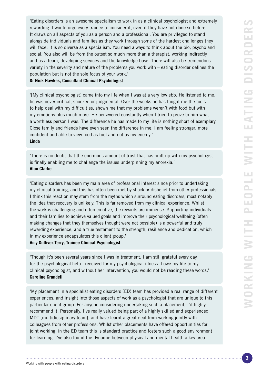'Eating disorders is an awesome specialism to work in as a clinical psychologist and extremely rewarding. I would urge every trainee to consider it, even if they have not done so before. It draws on all aspects of you as a person and a professional. You are privileged to stand alongside individuals and families as they work through some of the hardest challenges they will face. It is so diverse as a specialism. You need always to think about the bio, psycho and social. You also will be from the outset so much more than a therapist, working indirectly and as a team, developing services and the knowledge base. There will also be tremendous variety in the severity and nature of the problems you work with – eating disorder defines the population but is not the sole focus of your work.'

**Dr Nick Hawkes, Consultant Clinical Psychologist**

'[My clinical psychologist] came into my life when I was at a very low ebb. He listened to me, he was never critical, shocked or judgmental. Over the weeks he has taught me the tools to help deal with my difficulties, shown me that my problems weren't with food but with my emotions plus much more. He persevered constantly when I tried to prove to him what a worthless person I was. The difference he has made to my life is nothing short of exemplary. Close family and friends have even seen the difference in me. I am feeling stronger, more confident and able to view food as fuel and not as my enemy.' **Linda**

'There is no doubt that the enormous amount of trust that has built up with my psychologist is finally enabling me to challenge the issues underpinning my anorexia.' **Alan Clarke**

'Eating disorders has been my main area of professional interest since prior to undertaking my clinical training, and this has often been met by shock or disbelief from other professionals. I think this reaction may stem from the myths which surround eating disorders, most notably the idea that recovery is unlikely. This is far removed from my clinical experience. Whilst the work is challenging and often emotive, the rewards are immense. Supporting individuals and their families to achieve valued goals and improve their psychological wellbeing (often making changes that they themselves thought were not possible) is a powerful and truly rewarding experience, and a true testament to the strength, resilience and dedication, which in my experience encapsulates this client group.'

**Amy Gulliver-Terry, Trainee Clinical Psychologist**

'Though it's been several years since I was in treatment, I am still grateful every day for the psychological help I received for my psychological illness. I owe my life to my clinical psychologist, and without her intervention, you would not be reading these words.' **Caroline Crandell**

'My placement in a specialist eating disorders (ED) team has provided a real range of different experiences, and insight into those aspects of work as a psychologist that are unique to this particular client group. For anyone considering undertaking such a placement, I'd highly recommend it. Personally, I've really valued being part of a highly skilled and experienced MDT [multidicsiplinary team], and have learnt a great deal from working jointly with colleagues from other professions. Whilst other placements have offered opportunities for joint working, in the ED team this is standard practice and fosters such a good environment for learning. I've also found the dynamic between physical and mental health a key area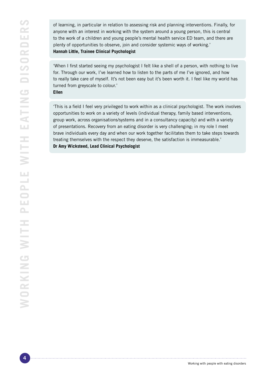of learning, in particular in relation to assessing risk and planning interventions. Finally, for anyone with an interest in working with the system around a young person, this is central to the work of a children and young people's mental health service ED team, and there are plenty of opportunities to observe, join and consider systemic ways of working.' **Hannah Little, Trainee Clinical Psychologist**

'When I first started seeing my psychologist I felt like a shell of a person, with nothing to live for. Through our work, I've learned how to listen to the parts of me I've ignored, and how to really take care of myself. It's not been easy but it's been worth it. I feel like my world has turned from greyscale to colour.'

#### **Ellen**

'This is a field I feel very privileged to work within as a clinical psychologist. The work involves opportunities to work on a variety of levels (individual therapy, family based interventions, group work, across organisations/systems and in a consultancy capacity) and with a variety of presentations. Recovery from an eating disorder is very challenging; in my role I meet brave individuals every day and when our work together facilitates them to take steps towards treating themselves with the respect they deserve, the satisfaction is immeasurable.' **Dr Amy Wicksteed, Lead Clinical Psychologist**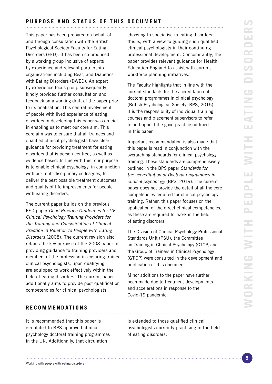<span id="page-4-0"></span>This paper has been prepared on behalf of and through consultation with the British Psychological Society Faculty for Eating Disorders (FED). It has been co-produced by a working group inclusive of experts by experience and relevant partnership organisations including Beat, and Diabetics with Eating Disorders (DWED). An expert by experience focus group subsequently kindly provided further consultation and feedback on a working draft of the paper prior to its finalisation. This central involvement of people with lived experience of eating disorders in developing this paper was crucial in enabling us to meet our core aim. This core aim was to ensure that all trainees and qualified clinical psychologists have clear guidance for providing treatment for eating disorders that is person-centred, as well as evidence based. In line with this, our purpose is to enable clinical psychology, in conjunction with our mult-disciplinary colleagues, to deliver the best possible treatment outcomes and quality of life improvements for people with eating disorders.

The current paper builds on the previous FED paper Good Practice Guidelines for UK Clinical Psychology Training Providers for the Training and Consolidation of Clinical Practice in Relation to People with Eating Disorders (2008). The current revision also retains the key purpose of the 2008 paper in providing guidance to training providers and members of the profession in ensuring trainee clinical psychologists, upon qualifying, are equipped to work effectively within the field of eating disorders. The current paper additionally aims to provide post qualification competencies for clinical psychologists

**RECOMMENDATIONS**

It is recommended that this paper is circulated to BPS approved clinical psychology doctoral training programmes in the UK. Additionally, that circulation

choosing to specialise in eating disorders; this is, with a view to guiding such qualified clinical psychologists in their continuing professional development. Concomitantly, the paper provides relevant guidance for Health Education England to assist with current workforce planning initiatives.

The Faculty highlights that in line with the current standards for the accreditation of doctoral programmes in clinical psychology (British Psychological Society; BPS, 2015), it is the responsibility of individual training courses and placement supervisors to refer to and uphold the good practice outlined in this paper.

Important recommendation is also made that this paper is read in conjunction with the overarching standards for clinical psychology training. These standards are comprehensively outlined in the BPS paper Standards for the accreditation of Doctoral programmes in clinical psychology (BPS, 2019). The current paper does not provide the detail of all the core competencies required for clinical psychology training. Rather, this paper focuses on the application of the direct clinical competencies, as these are required for work in the field of eating disorders.

The Division of Clinical Psychology Professional Standards Unit (PSU), the Committee on Training in Clinical Psychology (CTCP, and the Group of Trainers in Clinical Psychology (GTiCP) were consulted in the development and publication of this document.

Minor additions to the paper have further been made due to treatment developments and accelerations in response to the Covid-19 pandemic.

is extended to those qualified clinical psychologists currently practising in the field of eating disorders.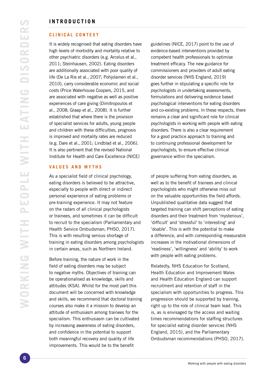# <span id="page-5-0"></span>**INTRODUCTION**

#### **CLINICAL CONTEXT**

It is widely recognised that eating disorders have high levels of morbidity and mortality relative to other psychiatric disorders (e.g. Arcelus et al., 2011; Steinhausen, 2002). Eating disorders are additionally associated with poor quality of life (De La Rie et al., 2007; Pohjolainen et al., 2010), carry considerable economic and social costs (Price Waterhouse Coopers, 2015, and are associated with negative as well as positive experiences of care giving (Dimitropoulos et al., 2008; Graap et al., 2008). It is further established that where there is the provision of specialist services for adults, young people and children with these difficulties, prognosis is improved and mortality rates are reduced (e.g. Dare et al., 2001; Lindblad et al., 2006). It is also pertinent that the revised National Institute for Health and Care Excellence (NICE)

#### **VALUES AND MYTHS**

As a specialist field of clinical psychology, eating disorders is believed to be attractive, especially to people with direct or indirect personal experience of eating problems or pre-training experience. It may not feature on the radars of all clinical psychologists or trainees, and sometimes it can be difficult to recruit to the specialism (Parliamentary and Health Service Ombudsman; PHSO, 2017). This is with resulting serious shortage of training in eating disorders among psychologists in certain areas, such as Northern Ireland.

Before training, the nature of work in the field of eating disorders may be subject to negative myths. Objectives of training can be operationalised as knowledge, skills and attitudes (KSA). Whilst for the most part this document will be concerned with knowledge and skills, we recommend that doctoral training courses also make it a mission to develop an attitude of enthusiasm among trainees for the specialism. This enthusiasm can be cultivated by increasing awareness of eating disorders, and confidence in the potential to support both meaningful recovery and quality of life improvements. This would be to the benefit

guidelines (NICE, 2017) point to the use of evidence-based interventions provided by competent health professionals to optimise treatment efficacy. The new guidance for commissioners and providers of adult eating disorder services (NHS England, 2019) goes further in stipulating a specific role for psychologists in undertaking assessments, formulations and delivering evidence based psychological interventions for eating disorders and co-existing problems. In these respects, there remains a clear and significant role for clinical psychologists in working with people with eating disorders. There is also a clear requirement for a good practice approach to training and to continuing professional development for psychologists, to ensure effective clinical governance within the specialism.

of people suffering from eating disorders, as well as to the benefit of trainees and clinical psychologists who might otherwise miss out on the valuable opportunities the field affords. Unpublished qualitative data suggest that targeted training can shift perceptions of eating disorders and their treatment from 'mysterious', 'difficult' and 'stressful' to 'interesting' and 'doable'. This is with the potential to make a difference, and with corresponding measurable increases in the motivational dimensions of 'readiness', 'willingness' and 'ability' to work with people with eating problems.

Relatedly, NHS Education for Scotland, Health Education and Improvement Wales and Health Education England can support recruitment and retention of staff in the specialism with opportunities to progress. This progression should be supported by training, right up to the role of clinical team lead. This is, as is envisaged by the access and waiting times recommendations for staffing structures for specialist eating disorder services (NHS England, 2015), and the Parliamentary Ombudsman recommendations (PHSO, 2017).

Working with people with eating disorders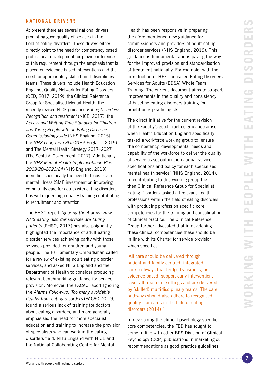#### <span id="page-6-0"></span>**NATIONAL DRIVERS**

At present there are several national drivers promoting good quality of services in the field of eating disorders. These drivers either directly point to the need for competency based professional development, or provide inference of this requirement through the emphasis that is placed on evidence based interventions and the need for appropriately skilled multidisciplinary teams. These drivers include Health Education England, Quality Network for Eating Disorders (QED, 2017, 2019), the Clinical Reference Group for Specialised Mental Health, the recently revised NICE guidance Eating Disorders: Recognition and treatment (NICE, 2017), the Access and Waiting Time Standard for Children and Young People with an Eating Disorder: Commissioning guide (NHS England, 2015), the NHS Long Term Plan (NHS England, 2019) and The Mental Health Strategy 2017–2027 (The Scottish Government, 2017). Additionally, the NHS Mental Health Implementation Plan 2019/20–2023/24 (NHS England, 2019) identifies specifically the need to focus severe mental illness (SMI) investment on improving community care for adults with eating disorders; this will require high quality training contributing to recruitment and retention.

The PHSO report Ignoring the Alarms: How NHS eating disorder services are failing patients (PHSO, 2017) has also poignantly highlighted the importance of adult eating disorder services achieving parity with those services provided for children and young people. The Parliamentary Ombudsman called for a review of existing adult eating disorder services, and asked NHS England and the Department of Health to consider producing relevant benchmarking guidance for service provision. Moreover, the PACAC report Ignoring the Alarms Follow-up: Too many avoidable deaths from eating disorders (PACAC, 2019) found a serious lack of training for doctors about eating disorders, and more generally emphasised the need for more specialist education and training to increase the provision of specialists who can work in the eating disorders field. NHS England with NICE and the National Collaborating Centre for Mental

Health has been responsive in preparing the afore mentioned new guidance for commissioners and providers of adult eating disorder services (NHS England, 2019). This guidance is fundamental and is paving the way for the improved provision and standardisation of treatment nationally. For example, with the introduction of HEE sponsored Eating Disorders Services for Adults (EDSA) Whole Team Training. The current document aims to support improvements in the quality and consistency of baseline eating disorders training for practitioner psychologists.

The direct initiative for the current revision of the Faculty's good practice guidance arose when Health Education England specifically tasked a workforce working group to 'ensure the competency, developmental needs and capability of the workforce to deliver the quality of service as set out in the national service specifications and policy for each specialised mental health service' (NHS England, 2014). In contributing to this working group the then Clinical Reference Group for Specialist Eating Disorders tasked all relevant health professions within the field of eating disorders with producing profession specific core competencies for the training and consolidation of clinical practice. The Clinical Reference Group further advocated that in developing these clinical competencies these should be in line with its Charter for service provision which specifies:

'All care should be delivered through patient and family-centred, integrated care pathways that bridge transitions, are evidence-based, support early intervention, cover all treatment settings and are delivered by (skilled) multidisciplinary teams. The care pathways should also adhere to recognised quality standards in the field of eating disorders (2014).'

In developing the clinical psychology specific core competencies, the FED has sought to come in line with other BPS Division of Clinical Psychology (DCP) publications in marketing our recommendations as good practice guidelines.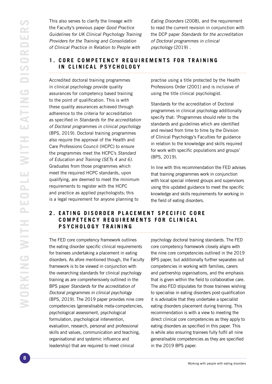<span id="page-7-0"></span>This also serves to clarify the lineage with the Faculty's previous paper Good Practice Guidelines for UK Clinical Psychology Training Providers for the Training and Consolidation of Clinical Practice in Relation to People with

Eating Disorders (2008), and the requirement to read the current revision in conjunction with the DCP paper *Standards for the accreditation of Doctoral programmes in clinical psychology* (2019) .

# **1. C O R E C O M P E T E N C Y R E Q U I R E M E N T S F O R T R A I N I N G IN CLINICAL PSYCHOLOGY**

Accredited doctoral training programmes in clinical psychology provide quality assurances for competency based training to the point of qualification. This is with these quality assurances achieved through adherence to the criteria for accreditation as specified in Standards for the accreditation of Doctoral programmes in clinical psychology (BPS, 2019). Doctoral training programmes also require the approval of the Health and Care Professions Council (HCPC) to ensure the programmes meet the HCPC's Standard of Education and Training (SETs 4 and 6). Graduates from those programmes which meet the required HCPC standards, upon qualifying, are deemed to meet the minimum requirements to register with the HCPC and practice as applied psychologists; this is a legal requirement for anyone planning to

practise using a title protected by the Health Professions Order (2001) and is inclusive of using the title clinical psychologist.

Standards for the accreditation of Doctoral programmes in clinical psychology additionally specify that: 'Programmes should refer to the standards and guidelines which are identified and revised from time to time by the Division of Clinical Psychology's Faculties for guidance in relation to the knowledge and skills required for work with specific populations and groups' (BPS, 2019).

In line with this recommendation the FED advises that training programmes work in conjunction with local special interest groups and supervisors using this updated guidance to meet the specific knowledge and skills requirements for working in the field of eating disorders.

# **2. EATING DISORDER PLACEMENT SPECIFIC CORE COMPETENCY REQUIREMENTS FOR CLINICAL PSYCHOLOGY TRAINING**

The FED core competency framework outlines the eating disorder specific clinical requirements for trainees undertaking a placement in eating disorders. As afore mentioned though, the Faculty framework is to be viewed in conjunction with the overarching standards for clinical psychology training as are comprehensively outlined in the BPS paper Standards for the accreditation of Doctoral programmes in clinical psychology (BPS, 2019). The 2019 paper provides nine core competencies (generalisable meta-competencies, psychological assessment, psychological formulation, psychological intervention, evaluation, research, personal and professional skills and values, communication and teaching, organisational and systemic influence and leadership) that are required to meet clinical

psychology doctoral training standards. The FED core competency framework closely aligns with the nine core competencies outlined in the 2019 BPS paper, but additionally further separates out competencies in working with families, carers and partnership organisations, and the emphasis that is given within the field to collaborative care. The also FED stipulates for those trainees wishing to specialise in eating disorders post-qualification it is advisable that they undertake a specialist eating disorders placement during training. This recommendation is with a view to meeting the direct clinical core competencies as they apply to eating disorders as specified in this paper. This is while also ensuring trainees fully fulfil all nine generalisable competencies as they are specified in the 2019 BPS paper.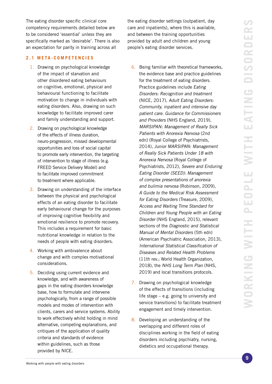<span id="page-8-0"></span>The eating disorder specific clinical core competency requirements detailed below are to be considered 'essential' unless they are specifically marked as 'desirable'. There is also an expectation for parity in training across all

# **2.1 META-COMPETENCIES**

- 1. Drawing on psychological knowledge of the impact of starvation and other disordered eating behaviours on cognitive, emotional, physical and behavioural functioning to facilitate motivation to change in individuals with eating disorders. Also, drawing on such knowledge to facilitate improved carer and family understanding and support.
- 2. Drawing on psychological knowledge of the effects of illness duration, neuro-progression, missed developmental opportunities and loss of social capital to promote early intervention, the targeting of intervention to stage of illness (e.g. FREED Service Delivery Model) and to facilitate improved commitment to treatment where applicable.
- 3. Drawing on understanding of the interface between the physical and psychological effects of an eating disorder to facilitate early behavioural change for the purposes of improving cognitive flexibility and emotional resilience to promote recovery. This includes a requirement for basic nutritional knowledge in relation to the needs of people with eating disorders.
- 4. Working with ambivalence about change and with complex motivational considerations.
- 5. Deciding using current evidence and knowledge, and with awareness of gaps in the eating disorders knowledge base, how to formulate and intervene psychologically, from a range of possible models and modes of intervention with clients, carers and service systems. Ability to work effectively whilst holding in mind alternative, competing explanations, and critiques of the application of quality criteria and standards of evidence within guidelines, such as those provided by NICE.

the eating disorder settings (outpatient, day care and inpatients), where this is available, and between the training opportunities provided by adult and children and young people's eating disorder services.

- 6. Being familiar with theoretical frameworks, the evidence base and practice guidelines for the treatment of eating disorders. Practice guidelines include Eating Disorders: Recognition and treatment (NICE, 2017), Adult Eating Disorders: Community, inpatient and intensive day patient care. Guidance for Commissioners and Providers (NHS England, 2019), MARSIPAN: Management of Really Sick Patients with Anorexia Nervosa (2nd edn) (Royal College of Psychiatrists, 2014), Junior MARSIPAN: Management of Really Sick Patients Under 18 with Anorexia Nervosa (Royal College of Psychiatrists, 2012), Severe and Enduring Eating Disorder (SEED): Management of complex presentations of anorexia and bulimia nervosa (Robinson, 2009), A Guide to the Medical Risk Assessment for Eating Disorders (Treasure, 2009), Access and Waiting Time Standard for Children and Young People with an Eating Disorder (NHS England, 2015), relevant sections of the Diagnostic and Statistical Manual of Mental Disorders (5th edn) (American Psychiatric Association, 2013), International Statistical Classification of Diseases and Related Health Problems (11th rev.; World Health Organization, 2018), the NHS Long Term Plan (NHS, 2019) and local transitions protocols.
- 7. Drawing on psychological knowledge of the effects of transitions (including life stage – e.g. going to university and service transitions) to facilitate treatment engagement and timely intervention.
- 8. Developing an understanding of the overlapping and different roles of disciplines working in the field of eating disorders including psychiatry, nursing, dietetics and occupational therapy.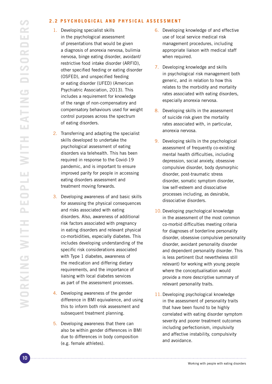#### <span id="page-9-0"></span>**2.2 PSYCHOLOGICAL AND PHYSICAL ASSESSMENT**

- 1. Developing specialist skills in the psychological assessment of presentations that would be given a diagnosis of anorexia nervosa, bulimia nervosa, binge eating disorder, avoidant/ restrictive food intake disorder (ARFID), other specified feeding or eating disorder (OSFED), and unspecified feeding or eating disorder (UFED) (American Psychiatric Association, 2013). This includes a requirement for knowledge of the range of non-compensatory and compensatory behaviours used for weight control purposes across the spectrum of eating disorders.
- 2. Transferring and adapting the specialist skills developed to undertake the psychological assessment of eating disorders via telehealth. This has been required in response to the Covid-19 pandemic, and is important to ensure improved parity for people in accessing eating disorders assessment and treatment moving forwards.
- 3. Developing awareness of and basic skills for assessing the physical consequences and risks associated with eating disorders. Also, awareness of additional risk factors associated with pregnancy in eating disorders and relevant physical co-morbidities, especially diabetes. This includes developing understanding of the specific risk considerations associated with Type 1 diabetes, awareness of the medication and differing dietary requirements, and the importance of liaising with local diabetes services as part of the assessment processes.
- 4. Developing awareness of the gender difference in BMI equivalence, and using this to inform both risk assessment and subsequent treatment planning.
- 5. Developing awareness that there can also be within gender differences in BMI due to differences in body composition (e.g. female athletes).

- 6. Developing knowledge of and effective use of local service medical risk management procedures, including appropriate liaison with medical staff when required.
- 7. Developing knowledge and skills in psychological risk management both generic, and in relation to how this relates to the morbidity and mortality rates associated with eating disorders, especially anorexia nervosa.
- 8. Developing skills in the assessment of suicide risk given the mortality rates associated with, in particular, anorexia nervosa.
- 9. Developing skills in the psychological assessment of frequently co-existing mental health difficulties, including depression, social anxiety, obsessive compulsive disorder, body dysmorphic disorder, post-traumatic stress disorder, somatic symptom disorder, low self-esteem and dissociative processes including, as desirable, dissociative disorders.
- 10. Developing psychological knowledge in the assessment of the most common co-morbid difficulties meeting criteria for diagnoses of borderline personality disorder, obsessive compulsive personality disorder, avoidant personality disorder and dependent personality disorder. This is less pertinent (but nevertheless still relevant) for working with young people where the conceptualisation would provide a more descriptive summary of relevant personality traits.
- 11. Developing psychological knowledge in the assessment of personality traits that have been found to be highly correlated with eating disorder symptom severity and poorer treatment outcomes including perfectionism, impulsivity and affective instability, compulsivity and avoidance.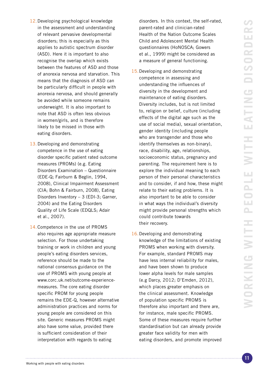- 12.Developing psychological knowledge in the assessment and understanding of relevant pervasive developmental disorders; this is especially as this applies to autistic spectrum disorder (ASD). Here it is important to also recognise the overlap which exists between the features of ASD and those of anorexia nervosa and starvation. This means that the diagnosis of ASD can be particularly difficult in people with anorexia nervosa, and should generally be avoided while someone remains underweight. It is also important to note that ASD is often less obvious in women/girls, and is therefore likely to be missed in those with eating disorders.
- 13.Developing and demonstrating competence in the use of eating disorder specific patient rated outcome measures (PROMs) (e.g. Eating Disorders Examination – Questionnaire (EDE-Q; Fairburn & Beglin, 1994, 2008), Clinical Impairment Assessment (CIA; Bohn & Fairburn, 2008), Eating Disorders Inventory – 3 (EDI-3; Garner, 2004) and the Eating Disorders Quality of Life Scale (EDQLS; Adair et al., 2007).
- 14.Competence in the use of PROMS also requires age appropriate measure selection. For those undertaking training or work in children and young people's eating disorders services, reference should be made to the national consensus guidance on the use of PROMS with young people at www.corc.uk.net/outcome-experiencemeasures. The core eating disorder specific PROM for young people remains the EDE-Q, however alternative administration practices and norms for young people are considered on this site. Generic measures PROMS might also have some value, provided there is sufficient consideration of their interpretation with regards to eating

disorders. In this context, the self-rated, parent-rated and clinician-rated Health of the Nation Outcome Scales Child and Adolescent Mental Health questionnaires (HoNOSCA; Gowers et al., 1999) might be considered as a measure of general functioning.

- 15.Developing and demonstrating competence in assessing and understanding the influences of diversity in the development and maintenance of eating disorders. Diversity includes, but is not limited to, religion or belief, culture (including effects of the digital age such as the use of social media), sexual orientation, gender identity (including people who are transgender and those who identify themselves as non-binary), race, disability, age, relationships, socioeconomic status, pregnancy and parenting. The requirement here is to explore the individual meaning to each person of their personal characteristics and to consider, if and how, these might relate to their eating problems. It is also important to be able to consider in what ways the individual's diversity might provide personal strengths which could contribute towards their recovery.
- 16.Developing and demonstrating knowledge of the limitations of existing PROMS when working with diversity. For example, standard PROMS may have less internal reliability for males, and have been shown to produce lower alpha levels for male samples (e.g Darcy, 2012; D'Emden, 2012), which places greater emphasis on the clinical assessment. Knowledge of population specific PROMS is therefore also important and there are, for instance, male specific PROMS. Some of these measures require further standardisation but can already provide greater face validity for men with eating disorders, and promote improved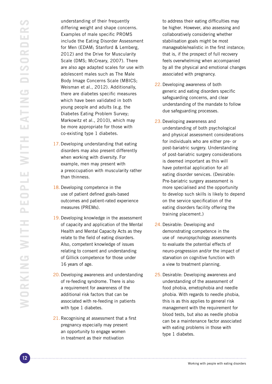understanding of their frequently differing weight and shape concerns. Examples of male specific PROMS include the Eating Disorder Assessment for Men (EDAM; Stanford & Lemberg, 2012) and the Drive for Muscularity Scale (DMS; McCreary, 2007). There are also age adapted scales for use with adolescent males such as The Male Body Image Concerns Scale (MBICS; Weisman et al., 2012). Additionally, there are diabetes specific measures which have been validated in both young people and adults (e.g. the Diabetes Eating Problem Survey; Markowitz et al., 2010), which may be more appropriate for those with co-existing type 1 diabetes.

- 17.Developing understanding that eating disorders may also present differently when working with diversity. For example, men may present with a preoccupation with muscularity rather than thinness.
- 18. Developing competence in the use of patient defined goals-based outcomes and patient-rated experience measures (PREMs).
- 19. Developing knowledge in the assessment of capacity and application of the Mental Health and Mental Capacity Acts as they relate to the field of eating disorders. Also, competent knowledge of issues relating to consent and understanding of Gillick competence for those under 16 years of age.
- 20. Developing awareness and understanding of re-feeding syndrome. There is also a requirement for awareness of the additional risk factors that can be associated with re-feeding in patients with type 1 diabetes.
- 21. Recognising at assessment that a first pregnancy especially may present an opportunity to engage women in treatment as their motivation

to address their eating difficulties may be higher. However, also assessing and collaboratively considering whether stabilisation goals might be most manageable/realistic in the first instance; that is, if the prospect of full recovery feels overwhelming when accompanied by all the physical and emotional changes associated with pregnancy.

- 22. Developing awareness of both generic and eating disorders specific safeguarding concerns, and clear understanding of the mandate to follow due safeguarding processes.
- 23.Developing awareness and understanding of both psychological and physical assessment considerations for individuals who are either pre- or post-bariatric surgery. Understanding of post-bariatric surgery considerations is deemed important as this will have potential application for all eating disorder services. (Desirable: Pre-bariatric surgery assessment is more specialised and the opportunity to develop such skills is likely to depend on the service specification of the eating disorders facility offering the training placement.)
- 24. Desirable: Developing and demonstrating competence in the use of neuropsychology assessments to evaluate the potential effects of neuro-progression and/or the impact of starvation on cognitive function with a view to treatment planning.
- 25. Desirable: Developing awareness and understanding of the assessment of food phobia, emetophobia and needle phobia. With regards to needle phobia, this is as this applies to general risk management with the requirement for blood tests, but also as needle phobia can be a maintenance factor associated with eating problems in those with type 1 diabetes.

Working with people with eating disorders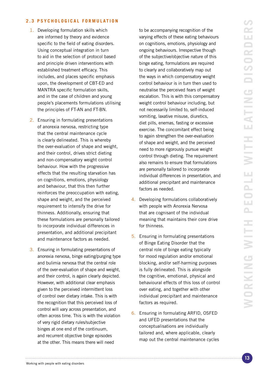#### <span id="page-12-0"></span>**2.3 PSYCHOLOGICAL FORMULATION**

- 1. Developing formulation skills which are informed by theory and evidence specific to the field of eating disorders. Using conceptual integration in turn to aid in the selection of protocol based and principle driven interventions with established treatment efficacy. This includes, and places specific emphasis upon, the development of CBT-ED and MANTRA specific formulation skills, and in the case of children and young people's placements formulations utilising the principles of FT-AN and FT-BN.
- 2. Ensuring in formulating presentations of anorexia nervosa, restricting type that the central maintenance cycle is clearly delineated. This is whereby the over-evaluation of shape and weight, and their control, drives strict dieting and non-compensatory weight control behaviour. How with the progressive effects that the resulting starvation has on cognitions, emotions, physiology and behaviour, that this then further reinforces the preoccupation with eating, shape and weight, and the perceived requirement to intensify the drive for thinness. Additionally, ensuring that these formulations are personally tailored to incorporate individual differences in presentation, and additional precipitant and maintenance factors as needed.
- 3. Ensuring in formulating presentations of anorexia nervosa, binge eating/purging type and bulimia nervosa that the central role of the over-evaluation of shape and weight, and their control, is again clearly depicted. However, with additional clear emphasis given to the perceived intermittent loss of control over dietary intake. This is with the recognition that this perceived loss of control will vary across presentation, and often across time. This is with the violation of very rigid dietary rules/subjective binges at one end of the continuum, and recurrent objective binge episodes at the other. This means there will need

to be accompanying recognition of the varying effects of these eating behaviours on cognitions, emotions, physiology and ongoing behaviours. Irrespective though of the subjective/objective nature of this binge eating, formulations are required to clearly and collaboratively map out the ways in which compensatory weight control behaviour is in turn then used to neutralise the perceived fears of weight escalation. This is with this compensatory weight control behaviour including, but not necessarily limited to, self-induced vomiting, laxative misuse, diuretics, diet pills, enemas, fasting or excessive exercise. The concomitant effect being to again strengthen the over-evaluation of shape and weight, and the perceived need to more rigorously pursue weight control through dieting. The requirement also remains to ensure that formulations are personally tailored to incorporate individual differences in presentation, and additional precipitant and maintenance factors as needed.

- 4. Developing formulations collaboratively with people with Anorexia Nervosa that are cognisant of the individual meaning that maintains their core drive for thinness.
- 5. Ensuring in formulating presentations of Binge Eating Disorder that the central role of binge eating typically for mood regulation and/or emotional blocking, and/or self-harming purposes is fully delineated. This is alongside the cognitive, emotional, physical and behavioural effects of this loss of control over eating, and together with other individual precipitant and maintenance factors as required.
- 6. Ensuring in formulating ARFID, OSFED and UFED presentations that the conceptualisations are individually tailored and, where applicable, clearly map out the central maintenance cycles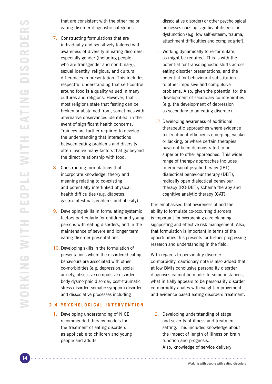<span id="page-13-0"></span>that are consistent with the other major eating disorder diagnostic categories.

- 7. Constructing formulations that are individually and sensitively tailored with awareness of diversity in eating disorders; especially gender (including people who are transgender and non-binary), sexual identity, religious, and cultural differences in presentation. This includes respectful understanding that self-control around food is a quality valued in many cultures and religions. However, that most religions state that fasting can be broken or abstained from, sometimes with alternative observances identified, in the event of significant health concerns. Trainees are further required to develop the understanding that interactions between eating problems and diversity often involve many factors that go beyond the direct relationship with food.
- 8. Constructing formulations that incorporate knowledge, theory and meaning relating to co-existing and potentially interlinked physical health difficulties (e.g. diabetes, gastro-intestinal problems and obesity).
- 9. Developing skills in formulating systemic factors particularly for children and young persons with eating disorders, and in the maintenance of severe and longer term eating disorder presentations.
- 10. Developing skills in the formulation of presentations where the disordered eating behaviours are associated with other co-morbidities (e.g. depression, social anxiety, obsessive compulsive disorder, body dysmorphic disorder, post-traumatic stress disorder, somatic symptom disorder, and dissociative processes including

# **2.4 PSYCHOLOGICAL INTERVENTION**

1. Developing understanding of NICE recommended therapy models for the treatment of eating disorders as applicable to children and young people and adults.

dissociative disorder) or other psychological processes causing significant distress or dysfunction (e.g. low self-esteem, trauma, attachment difficulties and complex grief).

- 11. Working dynamically to re-formulate, as might be required. This is with the potential for transdiagnostic shifts across eating disorder presentations, and the potential for behavioural substitution to other impulsive and compulsive problems. Also, given the potential for the development of secondary co-morbidities (e.g. the development of depression as secondary to an eating disorder).
- 12. Developing awareness of additional therapeutic approaches where evidence for treatment efficacy is emerging, weaker or lacking, or where certain therapies have not been demonstrated to be superior to other approaches. This wider range of therapy approaches includes interpersonal psychotherapy (IPT), dialectical behaviour therapy (DBT), radically open dialectical behaviour therapy (RO-DBT), schema therapy and cognitive analytic therapy (CAT).

It is emphasised that awareness of and the ability to formulate co-occurring disorders is important for overarching care planning, signposting and effective risk management. Also, that formulation is important in terms of the opportunities this presents for further progressing research and understanding in the field.

With regards to personality disorder co-morbidity, cautionary note is also added that at low BMIs conclusive personality disorder diagnoses cannot be made. In some instances, what initially appears to be personality disorder co-morbidity abates with weight improvement and evidence based eating disorders treatment.

2. Developing understanding of stage and severity of illness and treatment setting. This includes knowledge about the impact of length of illness on brain function and prognosis. Also, knowledge of service delivery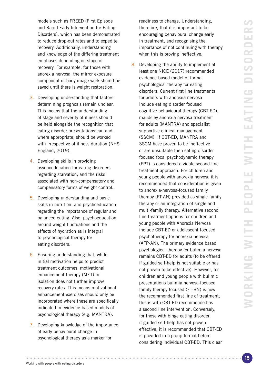models such as FREED (First Episode and Rapid Early Intervention for Eating Disorders), which has been demonstrated to reduce drop-out rates and to expedite recovery. Additionally, understanding and knowledge of the differing treatment emphases depending on stage of recovery. For example, for those with anorexia nervosa, the mirror exposure component of body image work should be saved until there is weight restoration.

- 3. Developing understanding that factors determining prognosis remain unclear. This means that the understanding of stage and severity of illness should be held alongside the recognition that eating disorder presentations can and, where appropriate, should be worked with irrespective of illness duration (NHS England, 2019).
- 4. Developing skills in providing psychoeducation for eating disorders regarding starvation, and the risks associated with non-compensatory and compensatory forms of weight control.
- 5. Developing understanding and basic skills in nutrition, and psychoeducation regarding the importance of regular and balanced eating. Also, psychoeducation around weight fluctuations and the effects of hydration as is integral to psychological therapy for eating disorders.
- 6. Ensuring understanding that, while initial motivation helps to predict treatment outcomes, motivational enhancement therapy (MET) in isolation does not further improve recovery rates. This means motivational enhancement exercises should only be incorporated where these are specifically indicated in evidence-based models of psychological therapy (e.g. MANTRA).
- 7. Developing knowledge of the importance of early behavioural change in psychological therapy as a marker for

readiness to change. Understanding, therefore, that it is important to be encouraging behavioural change early in treatment, and recognising the importance of not continuing with therapy when this is proving ineffective.

8. Developing the ability to implement at least one NICE (2017) recommended evidence-based model of formal psychological therapy for eating disorders. Current first line treatments for adults with anorexia nervosa include eating disorder focused cognitive behavioural therapy (CBT-ED), maudsley anorexia nervosa treatment for adults (MANTRA) and specialist supportive clinical management (SSCM). If CBT-ED, MANTRA and SSCM have proven to be ineffective or are unsuitable then eating disorder focused focal psychodynamic therapy (FPT) is considered a viable second line treatment approach. For children and young people with anorexia nervosa it is recommended that consideration is given to anorexia-nervosa-focused family therapy (FT-AN) provided as single-family therapy or an integration of single and multi-family therapy. Alternative second line treatment options for children and young people with Anorexia Nervosa include CBT-ED or adolescent focused psychotherapy for anorexia nervosa (AFP-AN). The primary evidence based psychological therapy for bulimia nervosa remains CBT-ED for adults (to be offered if guided self-help is not suitable or has not proven to be effective). However, for children and young people with bulimic presentations bulimia nervosa-focused family therapy focused (FT-BN) is now the recommended first line of treatment; this is with CBT-ED recommended as a second line intervention. Conversely, for those with binge eating disorder, if guided self-help has not proven effective, it is recommended that CBT-ED is provided in a group format before considering individual CBT-ED. This clear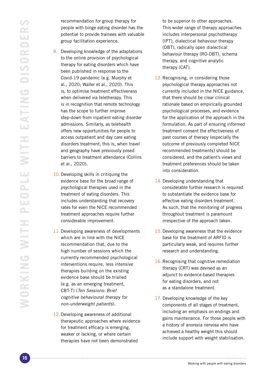recommendation for group therapy for people with binge eating disorder has the potential to provide trainees with valuable group facilitation experience.

- 9. Developing knowledge of the adaptations to the online provision of psychological therapy for eating disorders which have been published in response to the Covid-19 pandemic (e.g. Murphy et al., 2020; Waller et al., 2020). This is, to optimise treatment effectiveness when delivered via teletherapy. This is in recognition that remote technology has the scope to further improve step-down from inpatient eating disorder admissions. Similarly, as telehealth offers new opportunities for people to access outpatient and day care eating disorders treatment; this is, when travel and geography have previously posed barriers to treatment attendance (Collins et al., 2020).
- 10. Developing skills in critiquing the evidence base for the broad range of psychological therapies used in the treatment of eating disorders. This includes understanding that recovery rates for even the NICE recommended treatment approaches require further considerable improvement.
- 11. Developing awareness of developments which are in line with the NICE recommendation that, due to the high number of sessions which the currently recommended psychological interventions require, less intensive therapies building on the existing evidence base should be trialled (e.g. as an emerging treatment, CBT-T) (Ten Sessions: Brief cognitive behavioural therapy for non-underweight patients).
- 12.Developing awareness of additional therapeutic approaches where evidence for treatment efficacy is emerging, weaker or lacking, or where certain therapies have not been demonstrated

to be superior to other approaches. This wider range of therapy approaches includes interpersonal psychotherapy (IPT), dialectical behaviour therapy (DBT), radically open dialectical behaviour therapy (RO-DBT), schema therapy, and cognitive analytic therapy (CAT).

- 13. Recognising, in considering those psychological therapy approaches not currently included in the NICE guidance, that there should be clear clinical rationale based on empirically grounded psychological processes, and evidence for the application of the approach in the formulation. As part of ensuring informed treatment consent the effectiveness of past courses of therapy (especially the outcome of previously completed NICE recommended treatments) should be considered, and the patient's views and treatment preferences should be taken into consideration.
- 14. Developing understanding that considerable further research is required to substantiate the evidence base for effective eating disorders treatment. As such, that the monitoring of progress throughout treatment is paramount irrespective of the approach taken.
- 15. Developing awareness that the evidence base for the treatment of ARFID is particularly weak, and requires further research and understanding.
- 16. Recognising that cognitive remediation therapy (CRT) was devised as an adjunct to evidence-based therapies for eating disorders, and not as a standalone treatment.
- 17. Developing knowledge of the key components of all stages of treatment, including an emphasis on endings and gains maintenance. For those people with a history of anorexia nervosa who have achieved a healthy weight this should include support with weight stabilisation.

Working with people with eating disorders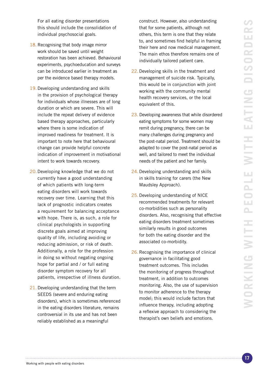<span id="page-16-0"></span>For all eating disorder presentations this should include the consolidation of individual psychosocial goals.

- 18. Recognising that body image mirror work should be saved until weight restoration has been achieved. Behavioural experiments, psychoeducation and surveys can be introduced earlier in treatment as per the evidence based therapy models.
- 19. Developing understanding and skills in the provision of psychological therapy for individuals whose illnesses are of long duration or which are severe. This will include the repeat delivery of evidence based therapy approaches, particularly where there is some indication of improved readiness for treatment. It is important to note here that behavioural change can provide helpful concrete indication of improvement in motivational intent to work towards recovery.
- 20.Developing knowledge that we do not currently have a good understanding of which patients with long-term eating disorders will work towards recovery over time. Learning that this lack of prognostic indicators creates a requirement for balancing acceptance with hope. There is, as such, a role for clinical psychologists in supporting discrete goals aimed at improving quality of life, including avoiding or reducing admission, or risk of death. Additionally, a role for the profession in doing so without negating ongoing hope for partial and / or full eating disorder symptom recovery for all patients, irrespective of illness duration.
- 21. Developing understanding that the term SEEDS (severe and enduring eating disorders), which is sometimes referenced in the eating disorders literature, remains controversial in its use and has not been reliably established as a meaningful

construct. However, also understanding that for some patients, although not others, this term is one that they relate to, and sometimes find helpful in framing their here and now medical management. The main ethos therefore remains one of individually tailored patient care.

- 22. Developing skills in the treatment and management of suicide risk. Typically, this would be in conjunction with joint working with the community mental health recovery services, or the local equivalent of this.
- 23. Developing awareness that while disordered eating symptoms for some women may remit during pregnancy, there can be many challenges during pregnancy and the post-natal period. Treatment should be adapted to cover the post-natal period as well, and tailored to meet the individual needs of the patient and her family.
- 24. Developing understanding and skills in skills training for carers (the New Maudsley Approach).
- 25. Developing understanding of NICE recommended treatments for relevant co-morbidities such as personality disorders. Also, recognising that effective eating disorders treatment sometimes similarly results in good outcomes for both the eating disorder and the associated co-morbidity.
- 26. Recognising the importance of clinical governance in facilitating good treatment outcomes. This includes the monitoring of progress throughout treatment, in addition to outcomes monitoring. Also, the use of supervision to monitor adherence to the therapy model; this would include factors that influence therapy, including adopting a reflexive approach to considering the therapist's own beliefs and emotions.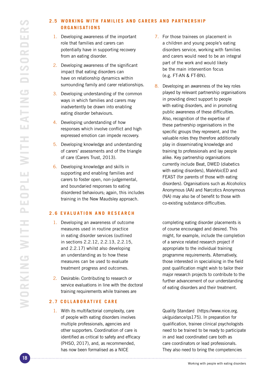# <span id="page-17-0"></span>**2.5 WORKING WITH FAMILIES AND CARERS AND PARTNERSHIP ORGANISATIONS**

- 1. Developing awareness of the important role that families and carers can potentially have in supporting recovery from an eating disorder.
- 2. Developing awareness of the significant impact that eating disorders can have on relationship dynamics within surrounding family and carer relationships.
- 3. Developing understanding of the common ways in which families and carers may inadvertently be drawn into enabling eating disorder behaviours.
- 4. Developing understanding of how responses which involve conflict and high expressed emotion can impede recovery.
- 5. Developing knowledge and understanding of carers' assessments and of the triangle of care (Carers Trust, 2013).
- 6. Developing knowledge and skills in supporting and enabling families and carers to foster open, non-judgemental, and boundaried responses to eating disordered behaviours; again, this includes training in the New Maudsley approach.

### **2.6 EVALUATION AND RESEARCH**

- 1. Developing an awareness of outcome measures used in routine practice in eating disorder services (outlined in sections 2.2.12, 2.2.13, 2.2.15, and 2.2.17) whilst also developing an understanding as to how these measures can be used to evaluate treatment progress and outcomes.
- 2. Desirable: Contributing to research or service evaluations in line with the doctoral training requirements while trainees are

# **2.7 COLLABORATIVE CARE**

1. With its multifactorial complexity, care of people with eating disorders involves multiple professionals, agencies and other supporters. Coordination of care is identified as critical to safety and efficacy (PHSO, 2017), and, as recommended, has now been formalised as a NICE

- 7. For those trainees on placement in a children and young people's eating disorders service, working with families and carers would need to be an integral part of the work and would likely be the main intervention focus (e.g. FT-AN & FT-BN).
- 8. Developing an awareness of the key roles played by relevant partnership organisations in providing direct support to people with eating disorders, and in promoting public awareness of these difficulties. Also, recognition of the expertise of these partnership organisations in the specific groups they represent, and the valuable roles they therefore additionally play in disseminating knowledge and training to professionals and lay people alike. Key partnership organisations currently include Beat, DWED (diabetics with eating disorders), MaleVoicED and FEAST (for parents of those with eating disorders). Organisations such as Alcoholics Anonymous (AA) and Narcotics Anonymous (NA) may also be of benefit to those with co-existing substance difficulties.

completing eating disorder placements is of course encouraged and desired. This might, for example, include the completion of a service related research project if appropriate to the individual training programme requirements. Alternatively, those interested in specialising in the field post qualification might wish to tailor their major research projects to contribute to the further advancement of our understanding of eating disorders and their treatment.

Quality Standard (https://www.nice.org. uk/guidance/qs175). In preparation for qualification, trainee clinical psychologists need to be trained to be ready to participate in and lead coordinated care both as care coordinators or lead professionals. They also need to bring the competencies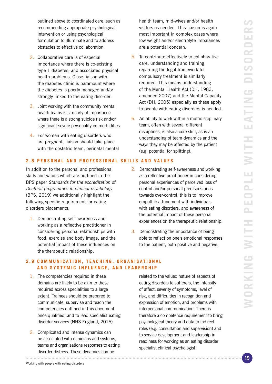<span id="page-18-0"></span>outlined above to coordinated care, such as recommending appropriate psychological intervention or using psychological formulation to illuminate and to address obstacles to effective collaboration.

- 2. Collaborative care is of especial importance where there is co-existing type 1 diabetes, and associated physical health problems. Close liaison with the diabetes clinic is paramount where the diabetes is poorly managed and/or strongly linked to the eating disorder.
- 3. Joint working with the community mental health teams is similarly of importance where there is a strong suicide risk and/or significant severe personality co-morbidities.
- 4. For women with eating disorders who are pregnant, liaison should take place with the obstetric team, perinatal mental

# **2.8 PERSONAL AND PROFESSIONAL SKILLS AND VALUES**

In addition to the personal and professional skills and values which are outlined in the BPS paper Standards for the accreditation of Doctoral programmes in clinical psychology (BPS, 2019) we additionally highlight the following specific requirement for eating disorders placements:

1. Demonstrating self-awareness and working as a reflective practitioner in considering personal relationships with food, exercise and body image, and the potential impact of these influences on the therapeutic relationship.

health team, mid-wives and/or health visitors as needed. This liaison is again most important in complex cases where low weight and/or electrolyte imbalances are a potential concern.

- 5. To contribute effectively to collaborative care, understanding and training regarding the legal framework for compulsory treatment is similarly required. This means understanding of the Mental Health Act (DH, 1983, amended 2007) and the Mental Capacity Act (DH, 2005) especially as these apply to people with eating disorders is needed.
- 6. An ability to work within a multidisciplinary team, often with several different disciplines, is also a core skill, as is an understanding of team dynamics and the ways they may be affected by the patient (e.g. potential for splitting).
- 2. Demonstrating self-awareness and working as a reflective practitioner in considering personal experiences of perceived loss of control and/or personal predispositions towards over-control; this is to improve empathic attunement with individuals with eating disorders, and awareness of the potential impact of these personal experiences on the therapeutic relationship.
- 3. Demonstrating the importance of being able to reflect on one's emotional responses to the patient, both positive and negative.

# **2.9 COMMUNICATION, TEACHING, ORGANISATIONAL AND SYSTEMIC INFLUENCE, AND LEADERSHIP**

- 1. The competencies required in these domains are likely to be akin to those required across specialities to a large extent. Trainees should be prepared to communicate, supervise and teach the competencies outlined in this document once qualified, and to lead specialist eating disorder services (NHS England, 2015).
- 2. Complicated and intense dynamics can be associated with clinicians and systems, teams and organisations responses to eating disorder distress. These dynamics can be

related to the valued nature of aspects of eating disorders to sufferers, the intensity of affect, severity of symptoms, level of risk, and difficulties in recognition and expression of emotion, and problems with interpersonal communication. There is therefore a competence requirement to bring psychological theory and data to indirect roles (e.g. consultation and supervision) and to service development and leadership in readiness for working as an eating disorder specialist clinical psychologist.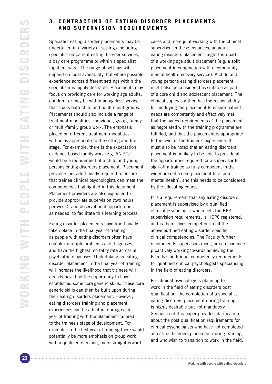# <span id="page-19-0"></span>**3. CONTRACTING OF EATING DISORDER PLACEMENTS AND SUPERVISION REQUIREMENTS**

Specialist eating disorder placements may be undertaken in a variety of settings including specialist outpatient eating disorder services, a day care programme or within a specialist inpatient ward. The range of settings will depend on local availability, but where possible experience across different settings within the specialism is highly desirable. Placements may focus on providing care for working age adults, children, or may be within an ageless service that spans both child and adult client groups. Placements should also include a range of treatment modalities: individual, group, family or multi-family group work. The emphasis placed on different treatment modalities will be as appropriate to the setting and life stage. For example, there is the expectation evidence based family work (e.g. AN-FT) would be a requirement of a child and young persons eating disorders placement. Placement providers are additionally required to ensure that trainee clinical psychologists can meet the competencies highlighted in this document. Placement providers are also expected to provide appropriate supervision (two hours per week), and observational opportunities, as needed, to facilitate this learning process.

Eating disorder placements have traditionally taken place in the final year of training as people with eating disorders often have complex multiple problems and diagnoses, and have the highest mortality rate across all psychiatric diagnoses. Undertaking an eating disorder placement in the final year of training will increase the likelihood that trainees will already have had the opportunity to have established some core generic skills. These core generic skills can then be built upon during their eating disorders placement. However, eating disorders training and placement experiences can be a feature during each year of training with the placement tailored to the trainee's stage of development. For example, in the first year of training there would potentially be more emphasis on group work with a qualified clinician, more straightforward

cases and more joint working with the clinical supervisor. In these instances, an adult eating disorders placement might form part of a working age adult placement (e.g. a split placement in conjunction with a community mental health recovery service). A child and young persons eating disorders placement might also be considered as suitable as part of a core child and adolescent placement. The clinical supervisor then has the responsibility for modifying the placement to ensure patient needs are competently and effectively met, that the agreed requirements of the placement as negotiated with the training programme are fulfilled, and that the placement is appropriate to the level of the trainee's experience. It must also be noted that an eating disorders placement is unlikely to be able to provide all the opportunities required for a supervisor to sign-off a trainee as fully competent in the wider area of a core placement (e.g. adult mental health), and this needs to be considered by the allocating course.

It is a requirement that any eating disorders placement is supervised by a qualified clinical psychologist who meets the BPS supervision requirements, is HCPC registered, and is themselves competent in all the above outlined eating disorder specific clinical competencies. The Faculty further recommends supervisors meet, or can evidence proactively working towards achieving the Faculty's additional competency requirements for qualified clinical psychologists specialising in the field of eating disorders.

For clinical psychologists planning to work in the field of eating disorders post qualification, the completion of a specialist eating disorders placement during training is highly desirable but not mandatory. Section 5 of this paper provides clarification about the post qualification requirements for clinical psychologists who have not completed an eating disorders placement during training, and who wish to transition to work in the field.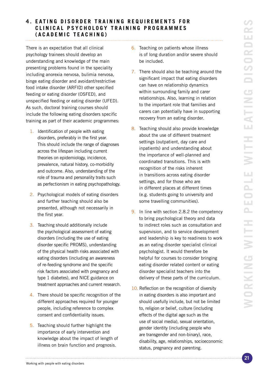#### <span id="page-20-0"></span>**4. EATING DISORDER TRAINING REQUIREMENTS FOR** CLINICAL PSYCHOLOGY TRAINING PROGRAMMES **(ACADEMIC TEACHING)**

There is an expectation that all clinical psychology trainees should develop an understanding and knowledge of the main presenting problems found in the speciality including anorexia nervosa, bulimia nervosa, binge eating disorder and avoidant/restrictive food intake disorder (ARFID) other specified feeding or eating disorder (OSFED), and unspecified feeding or eating disorder (UFED). As such, doctoral training courses should include the following eating disorders specific training as part of their academic programmes:

- 1. Identification of people with eating disorders, preferably in the first year. This should include the range of diagnoses across the lifespan including current theories on epidemiology, incidence, prevalence, natural history, co-morbidity and outcome. Also, understanding of the role of trauma and personality traits such as perfectionism in eating psychopathology.
- 2. Psychological models of eating disorders and further teaching should also be presented, although not necessarily in the first year.
- 3. Teaching should additionally include the psychological assessment of eating disorders (including the use of eating disorder specific PROMS), understanding of the physical health risks associated with eating disorders (including an awareness of re-feeding syndrome and the specific risk factors associated with pregnancy and type 1 diabetes), and NICE guidance on treatment approaches and current research.
- 4. There should be specific recognition of the different approaches required for younger people, including reference to complex consent and confidentiality issues.
- 5. Teaching should further highlight the importance of early intervention and knowledge about the impact of length of illness on brain function and prognosis.

- 6. Teaching on patients whose illness is of long duration and/or severe should be included.
- 7. There should also be teaching around the significant impact that eating disorders can have on relationship dynamics within surrounding family and carer relationships. Also, learning in relation to the important role that families and carers can potentially have in supporting recovery from an eating disorder.
- 8. Teaching should also provide knowledge about the use of different treatment settings (outpatient, day care and inpatients) and understanding about the importance of well-planned and coordinated transitions. This is with recognition of the risks inherent in transitions across eating disorder settings, and for those who are in different places at different times (e.g. students going to university and some travelling communities).
- 9. In line with section 2.8.2 the competency to bring psychological theory and data to indirect roles such as consultation and supervision, and to service development and leadership is key to readiness to work as an eating disorder specialist clinical psychologist. It would therefore be helpful for courses to consider bringing eating disorder related content or eating disorder specialist teachers into the delivery of these parts of the curriculum.
- 10. Reflection on the recognition of diversity in eating disorders is also important and should usefully include, but not be limited to, religion or belief, culture (including effects of the digital age such as the use of social media), sexual orientation, gender identity (including people who are transgender and non-binary), race, disability, age, relationships, socioeconomic status, pregnancy and parenting.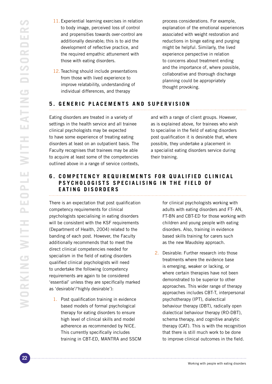- <span id="page-21-0"></span>11. Experiential learning exercises in relation to body image, perceived loss of control and propensities towards over-control are additionally desirable; this is to aid the development of reflective practice, and the required empathic attunement with those with eating disorders.
- 12. Teaching should include presentations from those with lived experience to improve relatability, understanding of individual differences, and therapy

process considerations. For example, explanation of the emotional experiences associated with weight restoration and reductions in binge eating and purging might be helpful. Similarly, the lived experience perspective in relation to concerns about treatment ending and the importance of, where possible, collaborative and thorough discharge planning could be appropriately thought provoking.

# **5. GENERIC PLACEMENTS AND SUPERVISION**

Eating disorders are treated in a variety of settings in the health service and all trainee clinical psychologists may be expected to have some experience of treating eating disorders at least on an outpatient basis. The Faculty recognises that trainees may be able to acquire at least some of the competencies outlined above in a range of service contexts,

and with a range of client groups. However, as is explained above, for trainees who wish to specialise in the field of eating disorders post qualification it is desirable that, where possible, they undertake a placement in a specialist eating disorders service during their training.

#### **6. COMPETENCY REQUIREMENTS FOR QUALIFIED CLINICAL PSYCHOLOGISTS SPECIALISING IN THE FIELD OF EATING DISORDERS**

There is an expectation that post qualification competency requirements for clinical psychologists specialising in eating disorders will be consistent with the KSF requirements (Department of Health, 2004) related to the banding of each post. However, the Faculty additionally recommends that to meet the direct clinical competencies needed for specialism in the field of eating disorders qualified clinical psychologists will need to undertake the following (competency requirements are again to be considered 'essential' unless they are specifically marked as 'desirable'/'highly desirable'):

1. Post qualification training in evidence based models of formal psychological therapy for eating disorders to ensure high level of clinical skills and model adherence as recommended by NICE. This currently specifically includes training in CBT-ED, MANTRA and SSCM for clinical psychologists working with adults with eating disorders and FT- AN, FT-BN and CBT-ED for those working with children and young people with eating disorders. Also, training in evidence based skills training for carers such as the new Maudsley approach.

2. Desirable: Further research into those treatments where the evidence base is emerging, weaker or lacking, or where certain therapies have not been demonstrated to be superior to other approaches. This wider range of therapy approaches includes CBT-T, interpersonal psychotherapy (IPT), dialectical behaviour therapy (DBT), radically open dialectical behaviour therapy (RO-DBT), schema therapy, and cognitive analytic therapy (CAT). This is with the recognition that there is still much work to be done to improve clinical outcomes in the field.

Working with people with eating disorders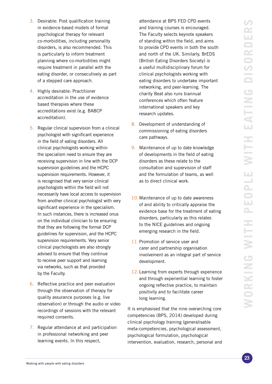- 3. Desirable: Post qualification training in evidence-based models of formal psychological therapy for relevant co-morbidities, including personality disorders, is also recommended. This is particularly to inform treatment planning where co-morbidities might require treatment in parallel with the eating disorder, or consecutively as part of a stepped care approach.
- 4. Highly desirable: Practitioner accreditation in the use of evidence based therapies where these accreditations exist (e.g. BABCP accreditation).
- 5. Regular clinical supervision from a clinical psychologist with significant experience in the field of eating disorders. All clinical psychologists working within the specialism need to ensure they are receiving supervision in line with the DCP supervision guidelines and the HCPC supervision requirements. However, it is recognised that very senior clinical psychologists within the field will not necessarily have local access to supervision from another clinical psychologist with very significant experience in the specialism. In such instances, there is increased onus on the individual clinician to be ensuring that they are following the formal DCP guidelines for supervision, and the HCPC supervision requirements. Very senior clinical psychologists are also strongly advised to ensure that they continue to receive peer support and learning via networks, such as that provided by the Faculty.
- 6. Reflective practice and peer evaluation through the observation of therapy for quality assurance purposes (e.g. live observation) or through the audio or video recordings of sessions with the relevant required consents.
- 7. Regular attendance at and participation in professional networking and peer learning events. In this respect,

attendance at BPS FED CPD events and training courses is encouraged. The Faculty selects keynote speakers of standing within the field, and aims to provide CPD events in both the south and north of the UK. Similarly, BrEDS (British Eating Disorders Society) is a useful multidisciplinary forum for clinical psychologists working with eating disorders to undertake important networking, and peer-learning. The charity Beat also runs biannual conferences which often feature international speakers and key research updates.

- 8. Development of understanding of commissioning of eating disorders care pathways.
- 9. Maintenance of up to date knowledge of developments in the field of eating disorders as these relate to the consultation and supervision of staff and the formulation of teams, as well as to direct clinical work.
- 10. Maintenance of up to date awareness of and ability to critically appraise the evidence base for the treatment of eating disorders, particularly as this relates to the NICE guidelines and ongoing emerging research in the field.
- 11. Promotion of service user and carer and partnership organisation involvement as an integral part of service development.
- 12. Learning from experts through experience and through experiential learning to foster ongoing reflective practice, to maintain positivity and to facilitate career long learning.

It is emphasised that the nine overarching core competencies (BPS, 2014) developed during clinical psychology training (generalisable meta-competencies, psychological assessment, psychological formulation, psychological intervention, evaluation, research, personal and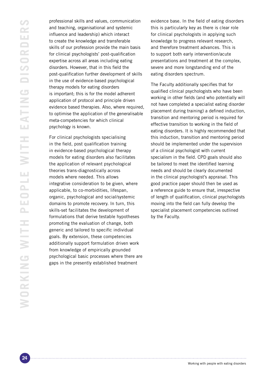professional skills and values, communication and teaching, organisational and systemic influence and leadership) which interact to create the knowledge and transferable skills of our profession provide the main basis for clinical psychologists' post-qualification expertise across all areas including eating disorders. However, that in this field the post-qualification further development of skills in the use of evidence-based psychological therapy models for eating disorders is important; this is for the model adherent application of protocol and principle driven evidence based therapies. Also, where required, to optimise the application of the generalisable meta-competencies for which clinical psychology is known.

For clinical psychologists specialising in the field, post qualification training in evidence-based psychological therapy models for eating disorders also facilitates the application of relevant psychological theories trans-diagnostically across models where needed. This allows integrative consideration to be given, where applicable, to co-morbidities, lifespan, organic, psychological and social/systemic domains to promote recovery. In turn, this skills-set facilitates the development of formulations that derive testable hypotheses promoting the evaluation of change, both generic and tailored to specific individual goals. By extension, these competencies additionally support formulation driven work from knowledge of empirically grounded psychological basic processes where there are gaps in the presently established treatment

evidence base. In the field of eating disorders this is particularly key as there is clear role for clinical psychologists in applying such knowledge to progress relevant research, and therefore treatment advances. This is to support both early intervention/acute presentations and treatment at the complex, severe and more longstanding end of the eating disorders spectrum.

The Faculty additionally specifies that for qualified clinical psychologists who have been working in other fields (and who potentially will not have completed a specialist eating disorder placement during training) a defined induction, transition and mentoring period is required for effective transition to working in the field of eating disorders. It is highly recommended that this induction, transition and mentoring period should be implemented under the supervision of a clinical psychologist with current specialism in the field. CPD goals should also be tailored to meet the identified learning needs and should be clearly documented in the clinical psychologist's appraisal. This good practice paper should then be used as a reference guide to ensure that, irrespective of length of qualification, clinical psychologists moving into the field can fully develop the specialist placement competencies outlined by the Faculty.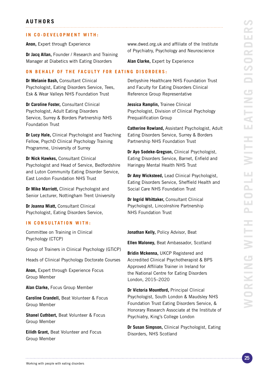# <span id="page-24-0"></span>**IN CO-DEVELOPMENT WITH:**

**Anon,** Expert through Experience

**Dr Jacq Allan,** Founder / Research and Training Manager at Diabetics with Eating Disorders

**ON BEHALF OF THE FACULTY FOR EATING DISORDERS:**

**Dr Melanie Bash,** Consultant Clinical Psychologist, Eating Disorders Service, Tees, Esk & Wear Valleys NHS Foundation Trust

**Dr Caroline Foster,** Consultant Clinical Psychologist, Adult Eating Disorders Service, Surrey & Borders Partnership NHS Foundation Trust

**Dr Lucy Hale,** Clinical Psychologist and Teaching Fellow, PsychD Clinical Psychology Training Programme, University of Surrey

**Dr Nick Hawkes,** Consultant Clinical Psychologist and Head of Service, Bedfordshire and Luton Community Eating Disorder Service, East London Foundation NHS Trust

**Dr Mike Marriott,** Clinical Psychologist and Senior Lecturer, Nottingham Trent University

**Dr Joanna Miatt,** Consultant Clinical Psychologist, Eating Disorders Service,

# **IN CONSULTATION WITH:**

Committee on Training in Clinical Psychology (CTCP)

Group of Trainers in Clinical Psychology (GTiCP)

Heads of Clinical Psychology Doctorate Courses

**Anon,** Expert through Experience Focus Group Member

**Alan Clarke,** Focus Group Member

**Caroline Crandell,** Beat Volunteer & Focus Group Member

**Shanel Cuthbert,** Beat Volunteer & Focus Group Member

**Eilidh Grant,** Beat Volunteer and Focus Group Member

www.dwed.org.uk and affiliate of the Institute of Psychiatry, Psychology and Neuroscience

**Alan Clarke,** Expert by Experience

Derbyshire Healthcare NHS Foundation Trust and Faculty for Eating Disorders Clinical Reference Group Representative

**Jessica Ramplin,** Trainee Clinical Psychologist, Division of Clinical Psychology Prequalification Group

**Catherine Rowland,** Assistant Psychologist, Adult Eating Disorders Service, Surrey & Borders Partnership NHS Foundation Trust

**Dr Ayo Sodeke-Gregson,** Clinical Psychologist, Eating Disorders Service, Barnet, Enfield and Haringey Mental Health NHS Trust

**Dr Amy Wicksteed,** Lead Clinical Psychologist, Eating Disorders Service, Sheffield Health and Social Care NHS Foundation Trust

**Dr Ingrid Whittaker,** Consultant Clinical Psychologist, Lincolnshire Partnership NHS Foundation Trust

**Jonathan Kelly,** Policy Advisor, Beat

**Ellen Maloney,** Beat Ambassador, Scotland

**Bridin Mckenna,** UKCP Registered and Accredited Clinical Psychotherapist & BPS Approved Affiliate Trainer in Ireland for the National Centre for Eating Disorders London, 2015–2020

**Dr Victoria Mountford,** Principal Clinical Psychologist, South London & Maudsley NHS Foundation Trust Eating Disorders Service, & Honorary Research Associate at the Institute of Psychiatry, King's College London

**Dr Susan Simpson,** Clinical Psychologist, Eating Disorders, NHS Scotland

Working with people with eating disorders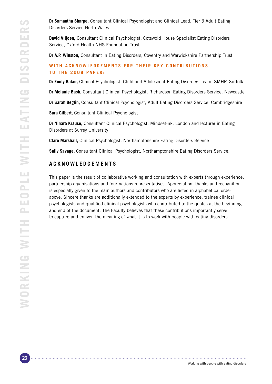<span id="page-25-0"></span>**Dr Samantha Sharpe,** Consultant Clinical Psychologist and Clinical Lead, Tier 3 Adult Eating Disorders Service North Wales

**David Viljoen,** Consultant Clinical Psychologist, Cotswold House Specialist Eating Disorders Service, Oxford Health NHS Foundation Trust

**Dr A.P. Winston,** Consultant in Eating Disorders, Coventry and Warwickshire Partnership Trust

# WITH ACKNOWLEDGEMENTS FOR THEIR KEY CONTRIBUTIONS **T O THE 2008 PAPER:**

**Dr Emily Baker,** Clinical Psychologist, Child and Adolescent Eating Disorders Team, SMHP, Suffolk

**Dr Melanie Bash,** Consultant Clinical Psychologist, Richardson Eating Disorders Service, Newcastle

**Dr Sarah Beglin,** Consultant Clinical Psychologist, Adult Eating Disorders Service, Cambridgeshire

**Sara Gilbert,** Consultant Clinical Psychologist

**Dr Nihara Krause,** Consultant Clinical Psychologist, Mindset-nk, London and lecturer in Eating Disorders at Surrey University

**Clare Marshall,** Clinical Psychologist, Northamptonshire Eating Disorders Service

**Sally Savage,** Consultant Clinical Psychologist, Northamptonshire Eating Disorders Service.

# **ACKNOWLEDGEMENTS**

This paper is the result of collaborative working and consultation with experts through experience, partnership organisations and four nations representatives. Appreciation, thanks and recognition is especially given to the main authors and contributors who are listed in alphabetical order above. Sincere thanks are additionally extended to the experts by experience, trainee clinical psychologists and qualified clinical psychologists who contributed to the quotes at the beginning and end of the document. The Faculty believes that these contributions importantly serve to capture and enliven the meaning of what it is to work with people with eating disorders.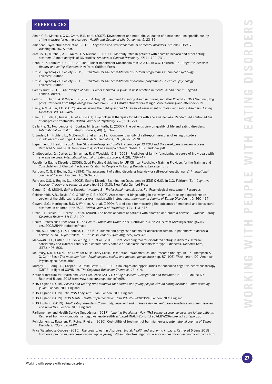- <span id="page-26-0"></span>Adair, C.E., Marcoux, G C., Cram, B.S. et al. (2007). Development and multi-site validation of a new condition-specific quality of life measure for eating disorders. Health and Quality of Life Outcomes, 5, 23–36.
- American Psychiatric Association (2013). Diagnostic and statistical manual of mental disorders (5th edn) (DSM-V). Washington, DC: Author.
- Arcelus, J., Mitchell, A.J., Wales, J. & Nielson, S. (2011). Mortality rates in patients with anorexia nervosa and other eating disorders: A meta-analysis of 36 studies. Archives of General Psychiatry, 68(7), 724–731.
- Bohn, K. & Fairburn, C.G. (2008). The Clinical Impairment Questionnaire (CIA 3.0). In C.G. Fairburn (Ed.) Cognitive behavior therapy and eating disorders. New York: Guilford Press.
- British Psychological Society (2019). Standards for the accreditation of Doctoral programmes in clinical psychology. Leicester: Author.
- British Psychological Society (2015). Standards for the accreditation of doctoral programmes in clinical psychology. Leicester: Author.
- Carer's Trust (2013). The triangle of care Carers included: A guide to best practice in mental health care in England. London: Author.
- Collins, L., Ayton. A. & Viljoen, D. (2020, 4 August). Treatment for eating disorders during and after Covid-19. BMJ Opinion [Blog post]. Retrieved from https://blogs.bmj.com/bmj/2020/08/04/treatment-for-eating-disorders-during-and-after-covid-19
- Darcy, A.M. & Lin, I.H. (2012). Are we asking the right questions? A review of assessment of males with eating disorders. Eating Disorders, 20, 416–426.
- Dare, C., Eisler, I., Russell, G. et al. (2001). Psychological therapies for adults with anorexia nervosa: Randomised controlled trial of out-patient treatments. British Journal of Psychiatry, 178, 216–221.
- De la Rie, S., Noordenbos, G., Donker, M. & van Furth, E. (2007). The patient's view on quality of life and eating disorders. International Journal of Eating Disorders, 40(1), 13–20.
- D'Emden, H., Holden, L., McDermott, B. et al. (2012). Concurrent validity of self-report measures of eating disorders in adolescents with type 1 diabetes. Acta Paediatrica, 101(9), 973–978.
- Department of Health. (2004). The NHS Knowledge and Skills Framework (NHS KSF) and the Development review process. Retrieved 5 June 2018 from www.msg.scot.nhs.uk/wp-content/uploads/KSF-Handbook.pdf.
- Dimitropoulos, G., Carter, J., Schachter, R. & Woodside, D.B. (2008). Predictors of family functioning in carers of individuals with anorexia nervosa. International Journal of Eating Disorders, 41(8), 739–747.
- Faculty for Eating Disorders (2008). Good Practice Guidelines for UK Clinical Psychology Training Providers for the Training and Consolidation of Clinical Practice in Relation to People with Eating Disorders. Leicester: BPS.
- Fairburn, C. G. & Beglin, S.J. (1994). The assessment of eating disorders: Interview or self-report questionnaire? International Journal of Eating Disorders, 16, 363–370.
- Fairburn, C.G. & Beglin, S.J. (2008). Eating Disorder Examination Questionnaire (EDE-Q 6.0). In C.G. Fairburn (Ed.) Cognitive behavior therapy and eating disorders (pp.309–313). New York: Guilford Press.
- Garner, D. M. (2004). Eating Disorder Inventory-3 Professional manual. Lutz, FL: Psychological Assessment Resources. Goldschmidt, A.B., Doyle, A.C. & Wilfley, D E. (2007). Assessment of binge eating in overweight youth using a questionnaire
- version of the child eating disorder examination with instructions. International Journal of Eating Disorders, 40, 460–467. Gowers, S.G., Harrington, R.C. & Whitton, A. et al. (1999). A brief scale for measuring the outcomes of emotional and behavioural
- disorders in children: HoNOSCA. British Journal of Psychiatry, 174, 413–416.
- Graap, H., Bleich, S., Herbst, F. et al. (2008). The needs of carers of patients with anorexia and bulimia nervosa. European Eating Disorders Review, 16(1), 21–29.
- Health Professions Order (2001). The Health Professions Order 2001. Retrieved 5 June 2018 from www.legislation.gov.uk/ uksi/2002/254/introduction/made
- Hjern, A., Lindberg, L. & Lindblad, F. (2006). Outcome and prognostic factors for adolescent female in-patients with anorexia nervosa: 9- to 14-year follow-up. British Journal of Psychiatry, 189, 428–432.
- Markowitz, J.T., Butler, D.A., Volkening, L.K. et al. (2010). Brief screening tool for disordered eating in diabetes: Internal consistency and external validity in a contemporary sample of paediatric patients with type 1 diabetes. Diabetes Care, 33(3), 495–500.
- McCreary, D.R. (2007). The Drive for Muscularity Scale: Description, psychometrics, and research findings. In J.K. Thompson & G. Cafri (Eds.) The muscular ideal: Psychological, social, and medical perspectives (pp. 87–106). Washington, DC: American Psychological Association.
- Murphy, R., Calugi, S., Cooper Z. & Dalle Grave, R. (2020). Challenges and opportunities for enhanced cognitive behaviour therapy (CBT-E) in light of COVID-19. The Cognitive Behaviour Therapist, 13, e14.
- National Institute for Health and Care Excellence (2017). Eating disorders: Recognition and treatment. NICE Guideline 69. Retrieved 5 June 2018 from www.nice.org.uk/guidance/ng69.
- NHS England (2015). Access and waiting time standard for children and young people with an eating disorder: Commissioning guide. London: NHS England.
- NHS England (2019). The NHS Long Term Plan. London: NHS England.
- NHS England (2019). NHS Mental Health Implementation Plan 2019/20–2023/24. London: NHS England.

- NHS England. (2019). Adult eating disorders: Community, inpatient and intensive day patient care Guidance for commissioners and providers. London: NHS England.
- Parliamentary and Health Service Ombudsman (2017). Ignoring the alarms: How NHS eating disorder services are failing patients. Retrieved from www.ombudsman.org.uk/sites/default/files/page/FINAL%20FOR%20WEB%20Anorexia%20Report.pdf.
- Pohjolainen, V., Rasanen, P., Roine, R. et al. (2010). Cost-utility of treatment of bulimia nervosa. International Journal of Eating Disorders, 43(7), 596–602.
- Price Waterhouse Coopers (2015). The costs of eating disorders: Social, health and economic impacts. Retrieved 5 June 2018 from www.pwc.co.uk/services/economics-policy/insights/the-costs-of-eating-disorders-social-health-and-economic-impacts.html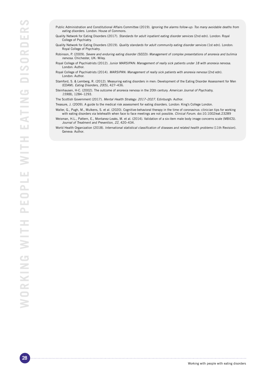- Public Administration and Constitutional Affairs Committee (2019). Ignoring the alarms follow-up: Too many avoidable deaths from eating disorders. London: House of Commons.
- Quality Network for Eating Disorders (2017). Standards for adult inpatient eating disorder services (2nd edn). London: Royal College of Psychiatry.
- Quality Network for Eating Disorders (2019). Quality standards for adult community eating disorder services (1st edn). London: Royal College of Psychiatry.
- Robinson, P. (2009). Severe and enduring eating disorder (SEED): Management of complex presentations of anorexia and bulimia nervosa. Chichester, UK: Wiley.
- Royal College of Psychiatrists (2012). Junior MARSIPAN: Management of really sick patients under 18 with anorexia nervosa. London: Author.
- Royal College of Psychiatrists (2014). MARSIPAN: Management of really sick patients with anorexia nervosa (2nd edn). London: Author.
- Stamford, S. & Lemberg, R. (2012). Measuring eating disorders in men: Development of the Eating Disorder Assessment for Men (EDAM). Eating Disorders, 20(5), 427–436.
- Steinhausen, H-C. (2002). The outcome of anorexia nervosa in the 20th century. American Journal of Psychiatry, 159(8), 1284–1293.
- The Scottish Government (2017). *Mental Health Strategy: 2017–2027.* Edinburgh: Author.
- Treasure, J. (2009). A guide to the medical risk assessment for eating disorders. London: King's College London.

- Waller, G., Pugh, M., Mulkens, S. et al. (2020). Cognitive-behavioral therapy in the time of coronavirus: clinician tips for working with eating disorders via telehealth when face to face meetings are not possible. Clinical Forum. doi:10.1002/eat.23289
- Weisman, H.L., Pattern, E., Montanez-Leaks, M. et al. (2014). Validation of a six-item male body image concerns scale (MBICS). Journal of Treatment and Prevention, 22, 420–434.
- World Health Organization (2018). International statistical classification of diseases and related health problems (11th Revision). Geneva: Author.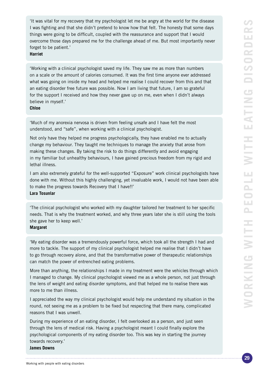'It was vital for my recovery that my psychologist let me be angry at the world for the disease I was fighting and that she didn't pretend to know how that felt. The honesty that some days things were going to be difficult, coupled with the reassurance and support that I would overcome those days prepared me for the challenge ahead of me. But most importantly never forget to be patient.'

#### **Harriet**

'Working with a clinical psychologist saved my life. They saw me as more than numbers on a scale or the amount of calories consumed. It was the first time anyone ever addressed what was going on inside my head and helped me realise I could recover from this and that an eating disorder free future was possible. Now I am living that future, I am so grateful for the support I received and how they never gave up on me, even when I didn't always believe in myself.'

# **Chloe**

'Much of my anorexia nervosa is driven from feeling unsafe and I have felt the most understood, and "safe", when working with a clinical psychologist.

Not only have they helped me progress psychologically, they have enabled me to actually change my behaviour. They taught me techniques to manage the anxiety that arose from making these changes. By taking the risk to do things differently and avoid engaging in my familiar but unhealthy behaviours, I have gained precious freedom from my rigid and lethal illness.

I am also extremely grateful for the well-supported "Exposure" work clinical psychologists have done with me. Without this highly challenging, yet invaluable work, I would not have been able to make the progress towards Recovery that I have!!' **Lara Tosunlar**

'The clinical psychologist who worked with my daughter tailored her treatment to her specific needs. That is why the treatment worked, and why three years later she is still using the tools she gave her to keep well.'

### **Margaret**

'My eating disorder was a tremendously powerful force, which took all the strength I had and more to tackle. The support of my clinical psychologist helped me realise that I didn't have to go through recovery alone, and that the transformative power of therapeutic relationships can match the power of entrenched eating problems.

More than anything, the relationships I made in my treatment were the vehicles through which I managed to change. My clinical psychologist viewed me as a whole person, not just through the lens of weight and eating disorder symptoms, and that helped me to realise there was more to me than illness.

I appreciated the way my clinical psychologist would help me understand my situation in the round, not seeing me as a problem to be fixed but respecting that there many, complicated reasons that I was unwell.

During my experience of an eating disorder, I felt overlooked as a person, and just seen through the lens of medical risk. Having a psychologist meant I could finally explore the psychological components of my eating disorder too. This was key in starting the journey towards recovery.'

#### **James Downs**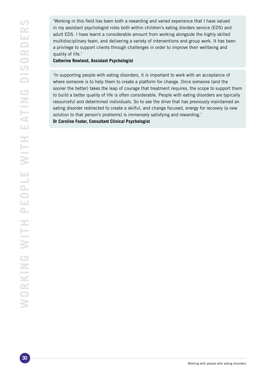'Working in this field has been both a rewarding and varied experience that I have valued in my assistant psychologist roles both within children's eating disrders service (EDS) and adult EDS. I have learnt a considerable amount from working alongside the highly skilled multidisciplinary team, and delivering a variety of interventions and group work. It has been a privilege to support clients through challenges in order to improve their wellbeing and quality of life.'

**Catherine Rowland, Assistant Psychologist**

'In supporting people with eating disorders, it is important to work with an acceptance of where someone is to help them to create a platform for change. Once someone (and the sooner the better) takes the leap of courage that treatment requires, the scope to support them to build a better quality of life is often considerable. People with eating disorders are typically resourceful and determined individuals. So to see the drive that has previously maintained an eating disorder redirected to create a skilful, and change focused, energy for recovery (a new solution to that person's problems) is immensely satisfying and rewarding.'

**Dr Caroline Foster, Consultant Clinical Psychologist**